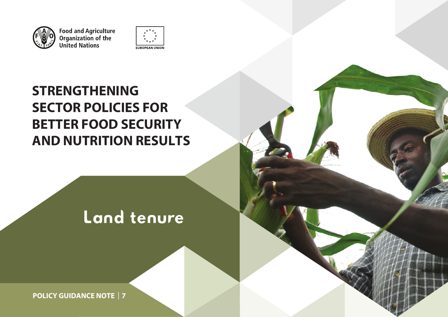

Food and Agriculture<br>Organization of the<br>United Nations



# **STRENGTHENING SECTOR POLICIES FOR BETTER FOOD SECURITY AND NUTRITION RESULTS**

# **Figure Land tend** and **a**nd and and and and and and an Land tenure

and a control of the control of the control of the control of the control of

**POLICY GUIDANCE NOTE | 7**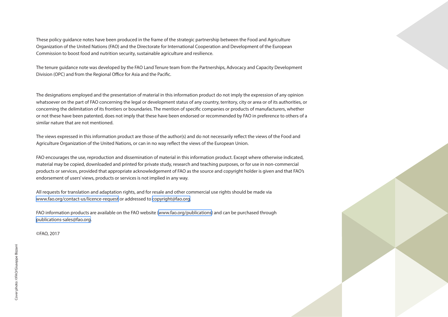These policy guidance notes have been produced in the frame of the strategic partnership between the Food and Agriculture Organization of the United Nations (FAO) and the Directorate for International Cooperation and Development of the European Commission to boost food and nutrition security, sustainable agriculture and resilience.

The tenure guidance note was developed by the FAO Land Tenure team from the Partnerships, Advocacy and Capacity Development Division (OPC) and from the Regional Office for Asia and the Pacific.

The designations employed and the presentation of material in this information product do not imply the expression of any opinion whatsoever on the part of FAO concerning the legal or development status of any country, territory, city or area or of its authorities, or concerning the delimitation of its frontiers or boundaries. The mention of specific companies or products of manufacturers, whether or not these have been patented, does not imply that these have been endorsed or recommended by FAO in preference to others of a similar nature that are not mentioned.

The views expressed in this information product are those of the author(s) and do not necessarily reflect the views of the Food and Agriculture Organization of the United Nations, or can in no way reflect the views of the European Union.

FAO encourages the use, reproduction and dissemination of material in this information product. Except where otherwise indicated, material may be copied, downloaded and printed for private study, research and teaching purposes, or for use in non-commercial products or services, provided that appropriate acknowledgement of FAO as the source and copyright holder is given and that FAO's endorsement of users' views, products or services is not implied in any way.

All requests for translation and adaptation rights, and for resale and other commercial use rights should be made via <www.fao.org/contact-us/licence-request>or addressed to [copyright@fao.org.](mailto:copyright%40fao.org?subject=)

FAO information products are available on the FAO website (<www.fao.org/publications>) and can be purchased through [publications-sales@fao.org](mailto:publications-sales%40fao.org.?subject=).

©FAO, 2017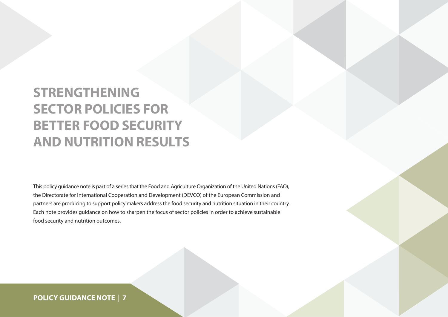# **STRENGTHENING SECTOR POLICIES FOR BETTER FOOD SECURITY AND NUTRITION RESULTS**

This policy guidance note is part of a series that the Food and Agriculture Organization of the United Nations (FAO), the Directorate for International Cooperation and Development (DEVCO) of the European Commission and partners are producing to support policy makers address the food security and nutrition situation in their country. Each note provides guidance on how to sharpen the focus of sector policies in order to achieve sustainable food security and nutrition outcomes.

### **POLICY GUIDANCE NOTE** | **7**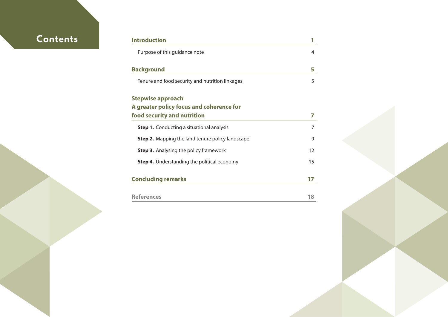# $Contents$

| Introduction                                            |    |
|---------------------------------------------------------|----|
| Purpose of this guidance note                           | 4  |
| <b>Background</b>                                       | 5  |
| Tenure and food security and nutrition linkages         | 5  |
| <b>Stepwise approach</b>                                |    |
| A greater policy focus and coherence for                |    |
| food security and nutrition                             |    |
| <b>Step 1.</b> Conducting a situational analysis        | 7  |
| <b>Step 2.</b> Mapping the land tenure policy landscape | 9  |
| <b>Step 3.</b> Analysing the policy framework           | 12 |
| <b>Step 4.</b> Understanding the political economy      | 15 |
| <b>Concluding remarks</b>                               | 17 |
|                                                         |    |
| <b>References</b>                                       | 18 |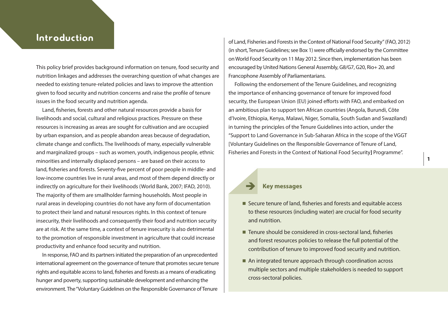This policy brief provides background information on tenure, food security and nutrition linkages and addresses the overarching question of what changes are needed to existing tenure-related policies and laws to improve the attention given to food security and nutrition concerns and raise the profile of tenure issues in the food security and nutrition agenda.

Land, fisheries, forests and other natural resources provide a basis for livelihoods and social, cultural and religious practices. Pressure on these resources is increasing as areas are sought for cultivation and are occupied by urban expansion, and as people abandon areas because of degradation, climate change and conflicts. The livelihoods of many, especially vulnerable and marginalized groups – such as women, youth, indigenous people, ethnic minorities and internally displaced persons – are based on their access to land, fisheries and forests. Seventy-five percent of poor people in middle- and low-income countries live in rural areas, and most of them depend directly or indirectly on agriculture for their livelihoods (World Bank, 2007; IFAD, 2010). The majority of them are smallholder farming households. Most people in rural areas in developing countries do not have any form of documentation to protect their land and natural resources rights. In this context of tenure insecurity, their livelihoods and consequently their food and nutrition security are at risk. At the same time, a context of tenure insecurity is also detrimental to the promotion of responsible investment in agriculture that could increase productivity and enhance food security and nutrition.

In response, FAO and its partners initiated the preparation of an unprecedented international agreement on the governance of tenure that promotes secure tenure rights and equitable access to land, fisheries and forests as a means of eradicating hunger and poverty, supporting sustainable development and enhancing the environment. The "Voluntary Guidelines on the Responsible Governance of Tenure

<span id="page-4-0"></span>Introduction **of Land, Fisheries and Forests in the Context of National Food Security" (FAO, 2012)** (in short, Tenure Guidelines; see Box 1) were officially endorsed by the Committee on World Food Security on 11 May 2012. Since then, implementation has been encouraged by United Nations General Assembly, G8/G7, G20, Rio+ 20, and Francophone Assembly of Parliamentarians.

> Following the endorsement of the Tenure Guidelines, and recognizing the importance of enhancing governance of tenure for improved food security, the European Union (EU) joined efforts with FAO, and embarked on an ambitious plan to support ten African countries (Angola, Burundi, Côte d'Ivoire, Ethiopia, Kenya, Malawi, Niger, Somalia, South Sudan and Swaziland) in turning the principles of the Tenure Guidelines into action, under the "Support to Land Governance in Sub-Saharan Africa in the scope of the VGGT [Voluntary Guidelines on the Responsible Governance of Tenure of Land, Fisheries and Forests in the Context of National Food Security**]** Programme".

#### **Key messages**

- $\blacksquare$  Secure tenure of land, fisheries and forests and equitable access to these resources (including water) are crucial for food security and nutrition.
- $\blacksquare$  Tenure should be considered in cross-sectoral land, fisheries and forest resources policies to release the full potential of the contribution of tenure to improved food security and nutrition.
- An integrated tenure approach through coordination across multiple sectors and multiple stakeholders is needed to support cross-sectoral policies.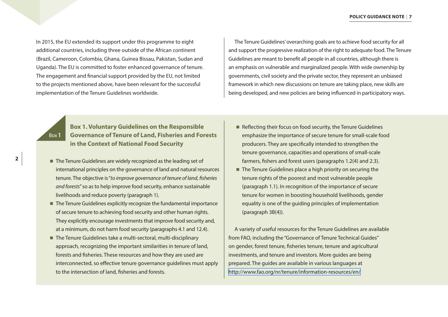In 2015, the EU extended its support under this programme to eight additional countries, including three outside of the African continent (Brazil, Cameroon, Colombia, Ghana, Guinea Bissau, Pakistan, Sudan and Uganda). The EU is committed to foster enhanced governance of tenure. The engagement and financial support provided by the EU, not limited to the projects mentioned above, have been relevant for the successful implementation of the Tenure Guidelines worldwide.

The Tenure Guidelines' overarching goals are to achieve food security for all and support the progressive realization of the right to adequate food. The Tenure Guidelines are meant to benefit all people in all countries, although there is an emphasis on vulnerable and marginalized people. With wide ownership by governments, civil society and the private sector, they represent an unbiased framework in which new discussions on tenure are taking place, new skills are being developed, and new policies are being influenced in participatory ways.

Box**1**

### **Box 1. Voluntary Guidelines on the Responsible Governance of Tenure of Land, Fisheries and Forests in the Context of National Food Security**

- $\blacksquare$  The Tenure Guidelines are widely recognized as the leading set of international principles on the governance of land and natural resources tenure. The objective is "*to improve governance of tenure of land, fisheries and forests*" so as to help improve food security, enhance sustainable livelihoods and reduce poverty (paragraph 1).
- $\blacksquare$  The Tenure Guidelines explicitly recognize the fundamental importance of secure tenure to achieving food security and other human rights. They explicitly encourage investments that improve food security and, at a minimum, do not harm food security (paragraphs 4.1 and 12.4).
- The Tenure Guidelines take a multi-sectoral, multi-disciplinary approach, recognizing the important similarities in tenure of land, forests and fisheries. These resources and how they are used are interconnected, so effective tenure governance guidelines must apply to the intersection of land, fisheries and forests.
- $\blacksquare$  Reflecting their focus on food security, the Tenure Guidelines emphasize the importance of secure tenure for small-scale food producers. They are specifically intended to strengthen the tenure governance, capacities and operations of small-scale farmers, fishers and forest users (paragraphs 1.2(4) and 2.3).
- $\blacksquare$  The Tenure Guidelines place a high priority on securing the tenure rights of the poorest and most vulnerable people (paragraph 1.1). In recognition of the importance of secure tenure for women in boosting household livelihoods, gender equality is one of the guiding principles of implementation (paragraph 3B(4)).

A variety of useful resources for the Tenure Guidelines are available from FAO, including the "Governance of Tenure Technical Guides" on gender, forest tenure, fisheries tenure, tenure and agricultural investments, and tenure and investors. More guides are being prepared. The guides are available in various languages at <http://www.fao.org/nr/tenure/information-resources/en/>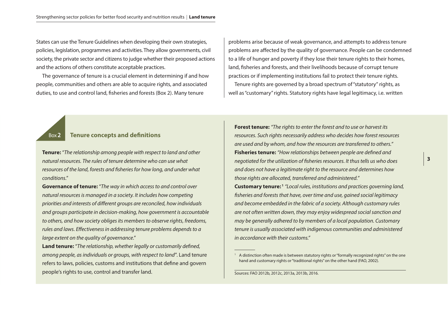States can use the Tenure Guidelines when developing their own strategies, policies, legislation, programmes and activities. They allow governments, civil society, the private sector and citizens to judge whether their proposed actions and the actions of others constitute acceptable practices.

The governance of tenure is a crucial element in determining if and how people, communities and others are able to acquire rights, and associated duties, to use and control land, fisheries and forests (Box 2). Many tenure

problems arise because of weak governance, and attempts to address tenure problems are affected by the quality of governance. People can be condemned to a life of hunger and poverty if they lose their tenure rights to their homes, land, fisheries and forests, and their livelihoods because of corrupt tenure practices or if implementing institutions fail to protect their tenure rights. Tenure rights are governed by a broad spectrum of "statutory" rights, as well as "customary" rights. Statutory rights have legal legitimacy, i.e. written

#### Box**2 Tenure concepts and definitions**

**Tenure:** "*The relationship among people with respect to land and other natural resources. The rules of tenure determine who can use what resources of the land, forests and fisheries for how long, and under what conditions*."

**Governance of tenure:** "*The way in which access to and control over natural resources is managed in a society. It includes how competing priorities and interests of different groups are reconciled, how individuals and groups participate in decision-making, how government is accountable to others, and how society obliges its members to observe rights, freedoms, rules and laws. Effectiveness in addressing tenure problems depends to a large extent on the quality of governance*."

**Land tenure:** "*The relationship, whether legally or customarily defined, among people, as individuals or groups, with respect to land*". Land tenure refers to laws, policies, customs and institutions that define and govern people's rights to use, control and transfer land.

**Forest tenure:** *"The rights to enter the forest and to use or harvest its resources. Such rights necessarily address who decides how forest resources are used and by whom, and how the resources are transferred to others."* **Fisheries tenure:** *"How relationships between people are defined and negotiated for the utilization of fisheries resources. It thus tells us who does and does not have a legitimate right to the resource and determines how those rights are allocated, transferred and administered."*

**Customary tenure: 1** *"Local rules, institutions and practices governing land, fisheries and forests that have, over time and use, gained social legitimacy and become embedded in the fabric of a society. Although customary rules are not often written down, they may enjoy widespread social sanction and may be generally adhered to by members of a local population. Customary tenure is usually associated with indigenous communities and administered in accordance with their customs."*

<sup>&</sup>lt;sup>1</sup> A distinction often made is between statutory rights or "formally recognized rights" on the one hand and customary rights or "traditional rights" on the other hand (FAO, 2002).

Sources: FAO 2012b, 2012c, 2013a, 2013b, 2016.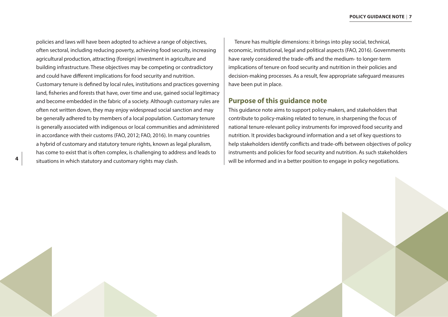<span id="page-7-0"></span>policies and laws will have been adopted to achieve a range of objectives, often sectoral, including reducing poverty, achieving food security, increasing agricultural production, attracting (foreign) investment in agriculture and building infrastructure. These objectives may be competing or contradictory and could have different implications for food security and nutrition. Customary tenure is defined by local rules, institutions and practices governing land, fisheries and forests that have, over time and use, gained social legitimacy and become embedded in the fabric of a society. Although customary rules are often not written down, they may enjoy widespread social sanction and may be generally adhered to by members of a local population. Customary tenure is generally associated with indigenous or local communities and administered in accordance with their customs (FAO, 2012; FAO, 2016). In many countries a hybrid of customary and statutory tenure rights, known as legal pluralism, has come to exist that is often complex, is challenging to address and leads to situations in which statutory and customary rights may clash.

Tenure has multiple dimensions: it brings into play social, technical, economic, institutional, legal and political aspects (FAO, 2016). Governments have rarely considered the trade-offs and the medium- to longer-term implications of tenure on food security and nutrition in their policies and decision-making processes. As a result, few appropriate safeguard measures have been put in place.

#### **Purpose of this guidance note**

This guidance note aims to support policy-makers, and stakeholders that contribute to policy-making related to tenure, in sharpening the focus of national tenure-relevant policy instruments for improved food security and nutrition. It provides background information and a set of key questions to help stakeholders identify conflicts and trade-offs between objectives of policy instruments and policies for food security and nutrition. As such stakeholders will be informed and in a better position to engage in policy negotiations.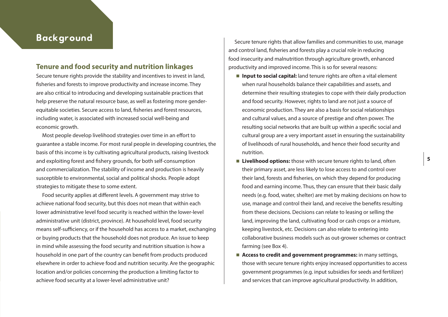### <span id="page-8-0"></span>Background

#### **Tenure and food security and nutrition linkages**

Secure tenure rights provide the stability and incentives to invest in land, fisheries and forests to improve productivity and increase income. They are also critical to introducing and developing sustainable practices that help preserve the natural resource base, as well as fostering more genderequitable societies. Secure access to land, fisheries and forest resources, including water, is associated with increased social well-being and economic growth.

Most people develop livelihood strategies over time in an effort to guarantee a stable income. For most rural people in developing countries, the basis of this income is by cultivating agricultural products, raising livestock and exploiting forest and fishery grounds, for both self-consumption and commercialization. The stability of income and production is heavily susceptible to environmental, social and political shocks. People adopt strategies to mitigate these to some extent.

Food security applies at different levels. A government may strive to achieve national food security, but this does not mean that within each lower administrative level food security is reached within the lower-level administrative unit (district, province). At household level, food security means self-sufficiency, or if the household has access to a market, exchanging or buying products that the household does not produce. An issue to keep in mind while assessing the food security and nutrition situation is how a household in one part of the country can benefit from products produced elsewhere in order to achieve food and nutrition security. Are the geographic location and/or policies concerning the production a limiting factor to achieve food security at a lower-level administrative unit?

Secure tenure rights that allow families and communities to use, manage and control land, fisheries and forests play a crucial role in reducing food insecurity and malnutrition through agriculture growth, enhanced productivity and improved income. This is so for several reasons:

- **n** Input to social capital: land tenure rights are often a vital element when rural households balance their capabilities and assets, and determine their resulting strategies to cope with their daily production and food security. However, rights to land are not just a source of economic production. They are also a basis for social relationships and cultural values, and a source of prestige and often power. The resulting social networks that are built up within a specific social and cultural group are a very important asset in ensuring the sustainability of livelihoods of rural households, and hence their food security and nutrition.
- Livelihood options: those with secure tenure rights to land, often their primary asset, are less likely to lose access to and control over their land, forests and fisheries, on which they depend for producing food and earning income. Thus, they can ensure that their basic daily needs (e.g. food, water, shelter) are met by making decisions on how to use, manage and control their land, and receive the benefits resulting from these decisions. Decisions can relate to leasing or selling the land, improving the land, cultivating food or cash crops or a mixture, keeping livestock, etc. Decisions can also relate to entering into collaborative business models such as out-grower schemes or contract farming (see Box 4).
- Access to credit and government programmes: in many settings, those with secure tenure rights enjoy increased opportunities to access government programmes (e.g. input subsidies for seeds and fertilizer) and services that can improve agricultural productivity. In addition,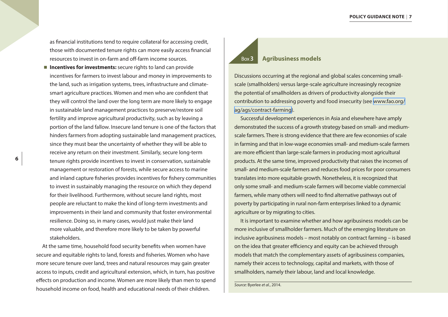as financial institutions tend to require collateral for accessing credit, those with documented tenure rights can more easily access financial resources to invest in on-farm and off-farm income sources.

**n Incentives for investments:** secure rights to land can provide incentives for farmers to invest labour and money in improvements to the land, such as irrigation systems, trees, infrastructure and climatesmart agriculture practices. Women and men who are confident that they will control the land over the long term are more likely to engage in sustainable land management practices to preserve/restore soil fertility and improve agricultural productivity, such as by leaving a portion of the land fallow. Insecure land tenure is one of the factors that hinders farmers from adopting sustainable land management practices, since they must bear the uncertainty of whether they will be able to receive any return on their investment. Similarly, secure long-term tenure rights provide incentives to invest in conservation, sustainable management or restoration of forests, while secure access to marine and inland capture fisheries provides incentives for fishery communities to invest in sustainably managing the resource on which they depend for their livelihood. Furthermore, without secure land rights, most people are reluctant to make the kind of long-term investments and improvements in their land and community that foster environmental resilience. Doing so, in many cases, would just make their land more valuable, and therefore more likely to be taken by powerful stakeholders.

At the same time, household food security benefits when women have secure and equitable rights to land, forests and fisheries. Women who have more secure tenure over land, trees and natural resources may gain greater access to inputs, credit and agricultural extension, which, in turn, has positive effects on production and income. Women are more likely than men to spend household income on food, health and educational needs of their children.

#### Box**3 Agribusiness models**

Discussions occurring at the regional and global scales concerning smallscale (smallholders) versus large-scale agriculture increasingly recognize the potential of smallholders as drivers of productivity alongside their contribution to addressing poverty and food insecurity (see [www.fao.org/](http://www.fao.org/ag/ags/contract-farming) [ag/ags/contract-farming\)](http://www.fao.org/ag/ags/contract-farming).

Successful development experiences in Asia and elsewhere have amply demonstrated the success of a growth strategy based on small- and mediumscale farmers. There is strong evidence that there are few economies of scale in farming and that in low-wage economies small- and medium-scale farmers are more efficient than large-scale farmers in producing most agricultural products. At the same time, improved productivity that raises the incomes of small- and medium-scale farmers and reduces food prices for poor consumers translates into more equitable growth. Nonetheless, it is recognized that only some small- and medium-scale farmers will become viable commercial farmers, while many others will need to find alternative pathways out of poverty by participating in rural non-farm enterprises linked to a dynamic agriculture or by migrating to cities.

It is important to examine whether and how agribusiness models can be more inclusive of smallholder farmers. Much of the emerging literature on inclusive agribusiness models – most notably on contract farming – is based on the idea that greater efficiency and equity can be achieved through models that match the complementary assets of agribusiness companies, namely their access to technology, capital and markets, with those of smallholders, namely their labour, land and local knowledge.

*Source:* Byerlee *et al.*, 2014.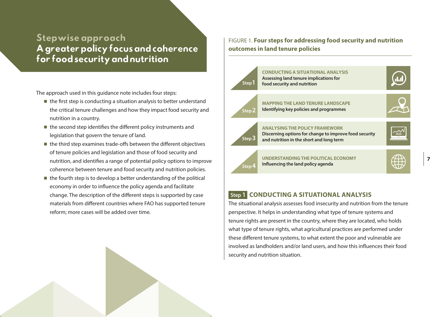## <span id="page-10-0"></span>Stepwise approach A greater policy focus and coherence for food security and nutrition

The approach used in this guidance note includes four steps:

- $\blacksquare$  the first step is conducting a situation analysis to better understand the critical tenure challenges and how they impact food security and nutrition in a country.
- $\blacksquare$  the second step identifies the different policy instruments and legislation that govern the tenure of land.
- $\blacksquare$  the third step examines trade-offs between the different objectives of tenure policies and legislation and those of food security and nutrition, and identifies a range of potential policy options to improve coherence between tenure and food security and nutrition policies.
- $\blacksquare$  the fourth step is to develop a better understanding of the political economy in order to influence the policy agenda and facilitate change. The description of the different steps is supported by case materials from different countries where FAO has supported tenure reform; more cases will be added over time.

FIGURE 1. **Four steps for addressing food security and nutrition outcomes in land tenure policies**



**7**

### **Step 1****CONDUCTING A SITUATIONAL ANALYSIS**

The situational analysis assesses food insecurity and nutrition from the tenure perspective. It helps in understanding what type of tenure systems and tenure rights are present in the country, where they are located, who holds what type of tenure rights, what agricultural practices are performed under these different tenure systems, to what extent the poor and vulnerable are involved as landholders and/or land users, and how this influences their food security and nutrition situation.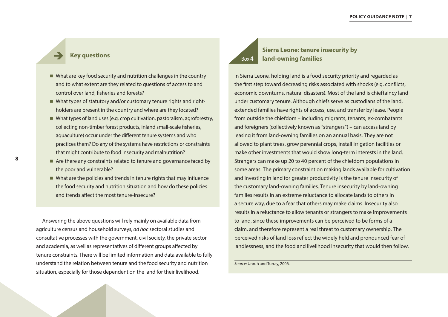#### **Key questions**

- $\blacksquare$  What are key food security and nutrition challenges in the country and to what extent are they related to questions of access to and control over land, fisheries and forests?
- $\blacksquare$  What types of statutory and/or customary tenure rights and rightholders are present in the country and where are they located?
- $\blacksquare$  What types of land uses (e.g. crop cultivation, pastoralism, agroforestry, collecting non-timber forest products, inland small-scale fisheries, aquaculture) occur under the different tenure systems and who practices them? Do any of the systems have restrictions or constraints that might contribute to food insecurity and malnutrition?
- $\blacksquare$  Are there any constraints related to tenure and governance faced by the poor and vulnerable?
- $\blacksquare$  What are the policies and trends in tenure rights that may influence the food security and nutrition situation and how do these policies and trends affect the most tenure-insecure?

Answering the above questions will rely mainly on available data from agriculture census and household surveys, *ad hoc* sectoral studies and consultative processes with the government, civil society, the private sector and academia, as well as representatives of different groups affected by tenure constraints. There will be limited information and data available to fully understand the relation between tenure and the food security and nutrition situation, especially for those dependent on the land for their livelihood.

# Box**4**

### **Sierra Leone: tenure insecurity by land-owning families**

In Sierra Leone, holding land is a food security priority and regarded as the first step toward decreasing risks associated with shocks (e.g. conflicts, economic downturns, natural disasters). Most of the land is chieftaincy land under customary tenure. Although chiefs serve as custodians of the land, extended families have rights of access, use, and transfer by lease. People from outside the chiefdom – including migrants, tenants, ex-combatants and foreigners (collectively known as "strangers") – can access land by leasing it from land-owning families on an annual basis. They are not allowed to plant trees, grow perennial crops, install irrigation facilities or make other investments that would show long-term interests in the land. Strangers can make up 20 to 40 percent of the chiefdom populations in some areas. The primary constraint on making lands available for cultivation and investing in land for greater productivity is the tenure insecurity of the customary land-owning families. Tenure insecurity by land-owning families results in an extreme reluctance to allocate lands to others in a secure way, due to a fear that others may make claims. Insecurity also results in a reluctance to allow tenants or strangers to make improvements to land, since these improvements can be perceived to be forms of a claim, and therefore represent a real threat to customary ownership. The perceived risks of land loss reflect the widely held and pronounced fear of landlessness, and the food and livelihood insecurity that would then follow.

*Source:* Unruh and Turray, 2006.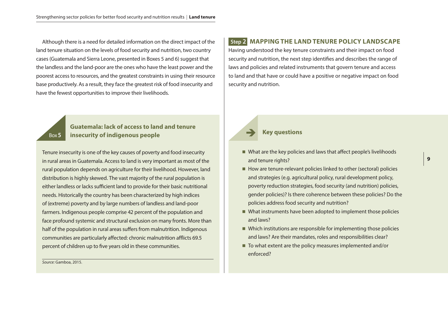<span id="page-12-0"></span>Although there is a need for detailed information on the direct impact of the land tenure situation on the levels of food security and nutrition, two country cases (Guatemala and Sierra Leone, presented in Boxes 5 and 6) suggest that the landless and the land-poor are the ones who have the least power and the poorest access to resources, and the greatest constraints in using their resource base productively. As a result, they face the greatest risk of food insecurity and have the fewest opportunities to improve their livelihoods.

#### **Guatemala: lack of access to land and tenure insecurity of indigenous people**

Tenure insecurity is one of the key causes of poverty and food insecurity in rural areas in Guatemala. Access to land is very important as most of the rural population depends on agriculture for their livelihood. However, land distribution is highly skewed. The vast majority of the rural population is either landless or lacks sufficient land to provide for their basic nutritional needs. Historically the country has been characterized by high indices of (extreme) poverty and by large numbers of landless and land-poor farmers. Indigenous people comprise 42 percent of the population and face profound systemic and structural exclusion on many fronts. More than half of the population in rural areas suffers from malnutrition. Indigenous communities are particularly affected: chronic malnutrition afflicts 69.5 percent of children up to five years old in these communities.

*Source:* Gamboa, 2015.

Box**5**

#### **Step 2****MAPPING THE LAND TENURE POLICY LANDSCAPE**

Having understood the key tenure constraints and their impact on food security and nutrition, the next step identifies and describes the range of laws and policies and related instruments that govern tenure and access to land and that have or could have a positive or negative impact on food security and nutrition.

#### **Key questions**

- $\blacksquare$  What are the key policies and laws that affect people's livelihoods and tenure rights?
- $\blacksquare$  How are tenure-relevant policies linked to other (sectoral) policies and strategies (e.g. agricultural policy, rural development policy, poverty reduction strategies, food security (and nutrition) policies, gender policies)? Is there coherence between these policies? Do the policies address food security and nutrition?
- $\blacksquare$  What instruments have been adopted to implement those policies and laws?
- $\blacksquare$  Which institutions are responsible for implementing those policies and laws? Are their mandates, roles and responsibilities clear?
- $\blacksquare$  To what extent are the policy measures implemented and/or enforced?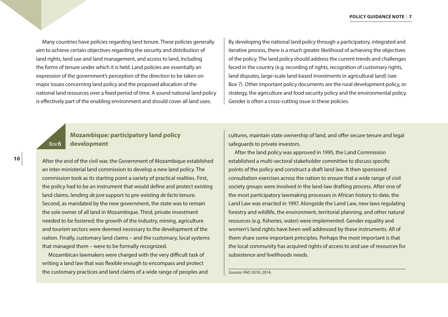Many countries have policies regarding land tenure. These policies generally aim to achieve certain objectives regarding the security and distribution of land rights, land use and land management, and access to land, including the forms of tenure under which it is held. Land policies are essentially an expression of the government's perception of the direction to be taken on major issues concerning land policy and the proposed allocation of the national land resources over a fixed period of time. A sound national land policy is effectively part of the enabling environment and should cover all land uses.

By developing the national land policy through a participatory, integrated and iterative process, there is a much greater likelihood of achieving the objectives of the policy. The land policy should address the current trends and challenges faced in the country (e.g. recording of rights, recognition of customary rights, land disputes, large-scale land-based investments in agricultural land) (see Box 7). Other important policy documents are the rural development policy, or strategy, the agriculture and food security policy and the environmental policy. Gender is often a cross-cutting issue in these policies.

#### Box**6 Mozambique: participatory land policy development**

After the end of the civil war, the Government of Mozambique established an inter-ministerial land commission to develop a new land policy. The commission took as its starting point a variety of practical realities. First, the policy had to be an instrument that would define and protect existing land claims, lending *de jure* support to pre-existing *de facto* tenure. Second, as mandated by the new government, the state was to remain the sole owner of all land in Mozambique. Third, private investment needed to be fostered; the growth of the industry, mining, agriculture and tourism sectors were deemed necessary to the development of the nation. Finally, customary land claims – and the customary, local systems that managed them – were to be formally recognized.

Mozambican lawmakers were charged with the very difficult task of writing a land law that was flexible enough to encompass and protect the customary practices and land claims of a wide range of peoples and cultures, maintain state ownership of land, and offer secure tenure and legal safeguards to private investors.

After the land policy was approved in 1995, the Land Commission established a multi-sectoral stakeholder committee to discuss specific points of the policy and construct a draft land law. It then sponsored consultation exercises across the nation to ensure that a wide range of civil society groups were involved in the land-law drafting process. After one of the most participatory lawmaking processes in African history to date, the Land Law was enacted in 1997. Alongside the Land Law, new laws regulating forestry and wildlife, the environment, territorial planning, and other natural resources (e.g. fisheries, water) were implemented. Gender equality and women's land rights have been well addressed by these instruments. All of them share some important principles. Perhaps the most important is that the local community has acquired rights of access to and use of resources for subsistence and livelihoods needs.

*Sources:* FAO 2010, 2014.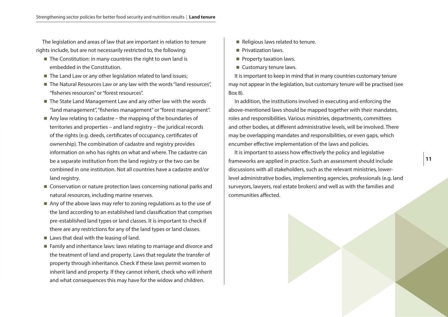The legislation and areas of law that are important in relation to tenure rights include, but are not necessarily restricted to, the following:

- $\blacksquare$  The Constitution: in many countries the right to own land is embedded in the Constitution.
- $\blacksquare$  The Land Law or any other legislation related to land issues;
- $\blacksquare$  The Natural Resources Law or any law with the words "land resources", "fisheries resources" or "forest resources".
- $\blacksquare$  The State Land Management Law and any other law with the words "land management", "fisheries management" or "forest management".
- $\blacksquare$  Any law relating to cadastre the mapping of the boundaries of territories and properties – and land registry – the juridical records of the rights (e.g. deeds, certificates of occupancy, certificates of ownership). The combination of cadastre and registry provides information on who has rights on what and where. The cadastre can be a separate institution from the land registry or the two can be combined in one institution. Not all countries have a cadastre and/or land registry.
- $\blacksquare$  Conservation or nature protection laws concerning national parks and natural resources, including marine reserves.
- $\blacksquare$  Any of the above laws may refer to zoning regulations as to the use of the land according to an established land classification that comprises pre-established land types or land classes. It is important to check if there are any restrictions for any of the land types or land classes.
- $\blacksquare$  Laws that deal with the leasing of land.
- $\blacksquare$  Family and inheritance laws: laws relating to marriage and divorce and the treatment of land and property. Laws that regulate the transfer of property through inheritance. Check if these laws permit women to inherit land and property. If they cannot inherit, check who will inherit and what consequences this may have for the widow and children.
- $\blacksquare$  Religious laws related to tenure.
- $\blacksquare$  Privatization laws.
- $\blacksquare$  Property taxation laws.
- $\blacksquare$  Customary tenure laws.

It is important to keep in mind that in many countries customary tenure may not appear in the legislation, but customary tenure will be practised (see Box 8).

In addition, the institutions involved in executing and enforcing the above-mentioned laws should be mapped together with their mandates, roles and responsibilities. Various ministries, departments, committees and other bodies, at different administrative levels, will be involved. There may be overlapping mandates and responsibilities, or even gaps, which encumber effective implementation of the laws and policies.

It is important to assess how effectively the policy and legislative frameworks are applied in practice. Such an assessment should include discussions with all stakeholders, such as the relevant ministries, lowerlevel administrative bodies, implementing agencies, professionals (e.g. land surveyors, lawyers, real estate brokers) and well as with the families and communities affected.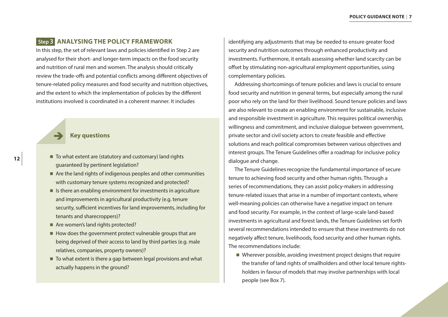#### <span id="page-15-0"></span> **Step 3****ANALYSING THE POLICY FRAMEWORK**

In this step, the set of relevant laws and policies identified in Step 2 are analysed for their short- and longer-term impacts on the food security and nutrition of rural men and women. The analysis should critically review the trade-offs and potential conflicts among different objectives of tenure-related policy measures and food security and nutrition objectives, and the extent to which the implementation of policies by the different institutions involved is coordinated in a coherent manner. It includes

**Key questions**

- $\blacksquare$  To what extent are (statutory and customary) land rights guaranteed by pertinent legislation?
- $\blacksquare$  Are the land rights of indigenous peoples and other communities with customary tenure systems recognized and protected?
- $\blacksquare$  Is there an enabling environment for investments in agriculture and improvements in agricultural productivity (e.g. tenure security, sufficient incentives for land improvements, including for tenants and sharecroppers)?
- $\blacksquare$  Are women's land rights protected?
- $\blacksquare$  How does the government protect vulnerable groups that are being deprived of their access to land by third parties (e.g. male relatives, companies, property owners)?
- $\blacksquare$  To what extent is there a gap between legal provisions and what actually happens in the ground?

identifying any adjustments that may be needed to ensure greater food security and nutrition outcomes through enhanced productivity and investments. Furthermore, it entails assessing whether land scarcity can be offset by stimulating non-agricultural employment opportunities, using complementary policies.

Addressing shortcomings of tenure policies and laws is crucial to ensure food security and nutrition in general terms, but especially among the rural poor who rely on the land for their livelihood. Sound tenure policies and laws are also relevant to create an enabling environment for sustainable, inclusive and responsible investment in agriculture. This requires political ownership, willingness and commitment, and inclusive dialogue between government, private sector and civil society actors to create feasible and effective solutions and reach political compromises between various objectives and interest groups. The Tenure Guidelines offer a roadmap for inclusive policy dialogue and change.

The Tenure Guidelines recognize the fundamental importance of secure tenure to achieving food security and other human rights. Through a series of recommendations, they can assist policy-makers in addressing tenure-related issues that arise in a number of important contexts, where well-meaning policies can otherwise have a negative impact on tenure and food security. For example, in the context of large-scale land-based investments in agricultural and forest lands, the Tenure Guidelines set forth several recommendations intended to ensure that these investments do not negatively affect tenure, livelihoods, food security and other human rights. The recommendations include:

■ Wherever possible, avoiding investment project designs that require the transfer of land rights of smallholders and other local tenure rightsholders in favour of models that may involve partnerships with local people (see Box 7).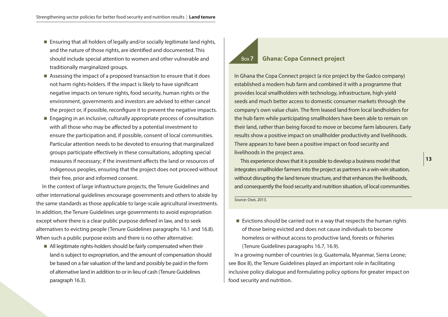- $\blacksquare$  Ensuring that all holders of legally and/or socially legitimate land rights, and the nature of those rights, are identified and documented. This should include special attention to women and other vulnerable and traditionally marginalized groups.
- Assessing the impact of a proposed transaction to ensure that it does not harm rights-holders. If the impact is likely to have significant negative impacts on tenure rights, food security, human rights or the environment, governments and investors are advised to either cancel the project or, if possible, reconfigure it to prevent the negative impacts.
- $\blacksquare$  Engaging in an inclusive, culturally appropriate process of consultation with all those who may be affected by a potential investment to ensure the participation and, if possible, consent of local communities. Particular attention needs to be devoted to ensuring that marginalized groups participate effectively in these consultations, adopting special measures if necessary; if the investment affects the land or resources of indigenous peoples, ensuring that the project does not proceed without their free, prior and informed consent.

In the context of large infrastructure projects, the Tenure Guidelines and other international guidelines encourage governments and others to abide by the same standards as those applicable to large-scale agricultural investments. In addition, the Tenure Guidelines urge governments to avoid expropriation except where there is a clear public purpose defined in law, and to seek alternatives to evicting people (Tenure Guidelines paragraphs 16.1 and 16.8). When such a public purpose exists and there is no other alternative:

 $\blacksquare$  All legitimate rights-holders should be fairly compensated when their land is subject to expropriation, and the amount of compensation should be based on a fair valuation of the land and possibly be paid in the form of alternative land in addition to or in lieu of cash (Tenure Guidelines paragraph 16.3).

#### Box**7 Ghana: Copa Connect project**

In Ghana the Copa Connect project (a rice project by the Gadco company) established a modern hub farm and combined it with a programme that provides local smallholders with technology, infrastructure, high-yield seeds and much better access to domestic consumer markets through the company's own value chain. The firm leased land from local landholders for the hub farm while participating smallholders have been able to remain on their land, rather than being forced to move or become farm labourers. Early results show a positive impact on smallholder productivity and livelihoods. There appears to have been a positive impact on food security and livelihoods in the project area.

This experience shows that it is possible to develop a business model that integrates smallholder farmers into the project as partners in a win-win situation, without disrupting the land tenure structure, and that enhances the livelihoods, and consequently the food security and nutrition situation, of local communities.

*Source:* Osei, 2013.

 $\blacksquare$  Evictions should be carried out in a way that respects the human rights of those being evicted and does not cause individuals to become homeless or without access to productive land, forests or fisheries (Tenure Guidelines paragraphs 16.7, 16.9).

In a growing number of countries (e.g. Guatemala, Myanmar, Sierra Leone; see Box 8), the Tenure Guidelines played an important role in facilitating inclusive policy dialogue and formulating policy options for greater impact on food security and nutrition.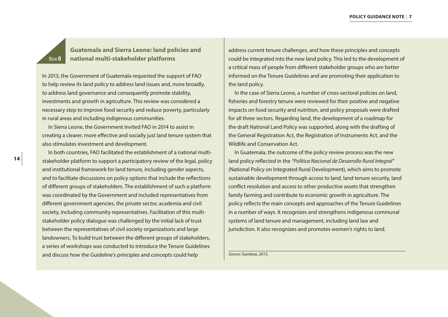### **Guatemala and Sierra Leone: land policies and national multi-stakeholder platforms**

In 2013, the Government of Guatemala requested the support of FAO to help review its land policy to address land issues and, more broadly, to address land governance and consequently promote stability, investments and growth in agriculture. This review was considered a necessary step to improve food security and reduce poverty, particularly in rural areas and including indigenous communities.

In Sierra Leone, the Government invited FAO in 2014 to assist in creating a clearer, more effective and socially just land tenure system that also stimulates investment and development.

In both countries, FAO facilitated the establishment of a national multistakeholder platform to support a participatory review of the legal, policy and institutional framework for land tenure, including gender aspects, and to facilitate discussions on policy options that include the reflections of different groups of stakeholders. The establishment of such a platform was coordinated by the Government and included representatives from different government agencies, the private sector, academia and civil society, including community representatives. Facilitation of this multistakeholder policy dialogue was challenged by the initial lack of trust between the representatives of civil society organizations and large landowners. To build trust between the different groups of stakeholders, a series of workshops was conducted to introduce the Tenure Guidelines and discuss how the Guideline's principles and concepts could help

address current tenure challenges, and how these principles and concepts could be integrated into the new land policy. This led to the development of a critical mass of people from different stakeholder groups who are better informed on the Tenure Guidelines and are promoting their application to the land policy.

In the case of Sierra Leone, a number of cross-sectoral policies on land, fisheries and forestry tenure were reviewed for their positive and negative impacts on food security and nutrition, and policy proposals were drafted for all three sectors. Regarding land, the development of a roadmap for the draft National Land Policy was supported, along with the drafting of the General Registration Act, the Registration of Instruments Act, and the Wildlife and Conservation Act.

In Guatemala, the outcome of the policy review process was the new land policy reflected in the *"Política Nacional de Desarrollo Rural Integral"*  (National Policy on Integrated Rural Development), which aims to promote sustainable development through access to land, land tenure security, land conflict resolution and access to other productive assets that strengthen family farming and contribute to economic growth in agriculture. The policy reflects the main concepts and approaches of the Tenure Guidelines in a number of ways. It recognizes and strengthens indigenous communal systems of land tenure and management, including land law and jurisdiction. It also recognizes and promotes women's rights to land.

*Source:* Gamboa, 2015.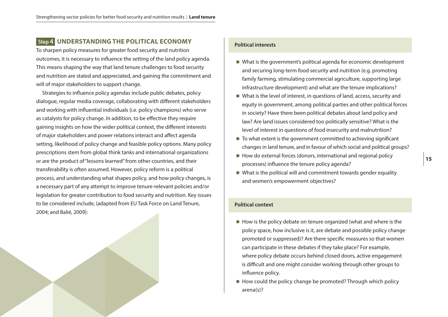#### <span id="page-18-0"></span> **Step 4****UNDERSTANDING THE POLITICAL ECONOMY**

To sharpen policy measures for greater food security and nutrition outcomes, it is necessary to influence the setting of the land policy agenda. This means shaping the way that land tenure challenges to food security and nutrition are stated and appreciated, and gaining the commitment and will of major stakeholders to support change.

Strategies to influence policy agendas include public debates, policy dialogue, regular media coverage, collaborating with different stakeholders and working with influential individuals (i.e. policy champions) who serve as catalysts for policy change. In addition, to be effective they require gaining insights on how the wider political context, the different interests of major stakeholders and power relations interact and affect agenda setting, likelihood of policy change and feasible policy options. Many policy prescriptions stem from global think tanks and international organizations or are the product of "lessons learned" from other countries, and their transferability is often assumed. However, policy reform is a political process, and understanding what shapes policy, and how policy changes, is a necessary part of any attempt to improve tenure-relevant policies and/or legislation for greater contribution to food security and nutrition. Key issues to be considered include, (adapted from EU Task Force on Land Tenure, 2004; and Balié, 2009):

#### **Political interests**

- $\blacksquare$  What is the government's political agenda for economic development and securing long-term food security and nutrition (e.g. promoting family farming, stimulating commercial agriculture, supporting large infrastructure development) and what are the tenure implications?
- $\blacksquare$  What is the level of interest, in questions of land, access, security and equity in government, among political parties and other political forces in society? Have there been political debates about land policy and law? Are land issues considered too politically sensitive? What is the level of interest in questions of food insecurity and malnutrition?
- $\blacksquare$  To what extent is the government committed to achieving significant changes in land tenure, and in favour of which social and political groups?
- $\blacksquare$  How do external forces (donors, international and regional policy processes) influence the tenure policy agenda?
- $\blacksquare$  What is the political will and commitment towards gender equality and women's empowerment objectives?

#### **Political context**

- $\blacksquare$  How is the policy debate on tenure organized (what and where is the policy space, how inclusive is it, are debate and possible policy change promoted or suppressed)? Are there specific measures so that women can participate in these debates if they take place? For example, where policy debate occurs behind closed doors, active engagement is difficult and one might consider working through other groups to influence policy.
- $\blacksquare$  How could the policy change be promoted? Through which policy arena(s)?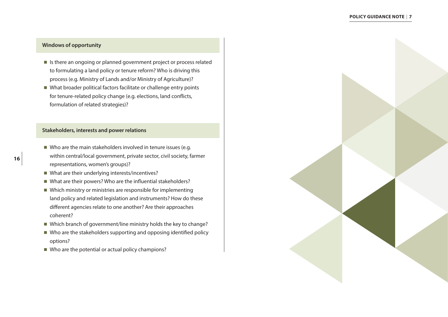#### **Windows of opportunity**

- $\blacksquare$  Is there an ongoing or planned government project or process related to formulating a land policy or tenure reform? Who is driving this process (e.g. Ministry of Lands and/or Ministry of Agriculture)?
- $\blacksquare$  What broader political factors facilitate or challenge entry points for tenure-related policy change (e.g. elections, land conflicts, formulation of related strategies)?

#### **Stakeholders, interests and power relations**

- $\blacksquare$  Who are the main stakeholders involved in tenure issues (e.g. within central/local government, private sector, civil society, farmer representations, women's groups)?
- $\blacksquare$  What are their underlying interests/incentives?
- $\blacksquare$  What are their powers? Who are the influential stakeholders?
- $\blacksquare$  Which ministry or ministries are responsible for implementing land policy and related legislation and instruments? How do these different agencies relate to one another? Are their approaches coherent?
- $\blacksquare$  Which branch of government/line ministry holds the key to change?
- $\blacksquare$  Who are the stakeholders supporting and opposing identified policy options?
- $\blacksquare$  Who are the potential or actual policy champions?

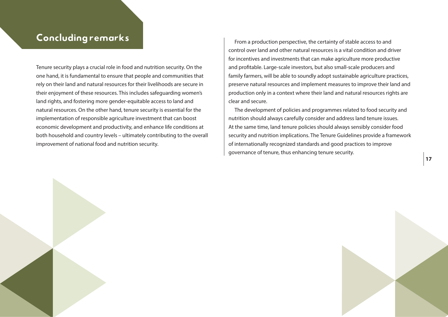## <span id="page-20-0"></span>Concluding remarks

Tenure security plays a crucial role in food and nutrition security. On the one hand, it is fundamental to ensure that people and communities that rely on their land and natural resources for their livelihoods are secure in their enjoyment of these resources. This includes safeguarding women's land rights, and fostering more gender-equitable access to land and natural resources. On the other hand, tenure security is essential for the implementation of responsible agriculture investment that can boost economic development and productivity, and enhance life conditions at both household and country levels – ultimately contributing to the overall improvement of national food and nutrition security.

From a production perspective, the certainty of stable access to and control over land and other natural resources is a vital condition and driver for incentives and investments that can make agriculture more productive and profitable. Large-scale investors, but also small-scale producers and family farmers, will be able to soundly adopt sustainable agriculture practices, preserve natural resources and implement measures to improve their land and production only in a context where their land and natural resources rights are clear and secure.

The development of policies and programmes related to food security and nutrition should always carefully consider and address land tenure issues. At the same time, land tenure policies should always sensibly consider food security and nutrition implications. The Tenure Guidelines provide a framework of internationally recognized standards and good practices to improve governance of tenure, thus enhancing tenure security.

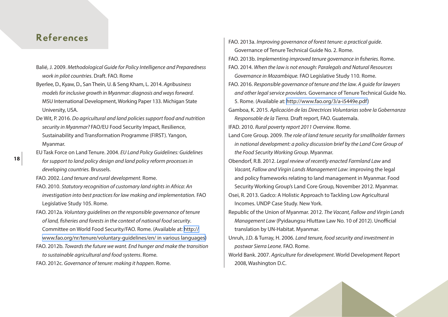## <span id="page-21-0"></span>References

- Balié, J. 2009. *Methodological Guide for Policy Intelligence and Preparedness work in pilot countries*. Draft. FAO. Rome
- Byerlee, D., Kyaw, D., San Thein, U. & Seng Kham, L. 2014. *Agribusiness models for inclusive growth in Myanmar: diagnosis and ways forward*. MSU International Development, Working Paper 133. Michigan State University, USA.
- De Wit, P. 2016. *Do agricultural and land policies support food and nutrition security in Myanmar?* FAO/EU Food Security Impact, Resilience, Sustainability and Transformation Programme (FIRST). Yangon, Myanmar.
- EU Task Force on Land Tenure. 2004. *EU Land Policy Guidelines: Guidelines for support to land policy design and land policy reform processes in developing countries.* Brussels.
- FAO. 2002. *Land tenure and rural development.* Rome.
- FAO. 2010. *Statutory recognition of customary land rights in Africa: An investigation into best practices for law making and implementation.* FAO Legislative Study 105. Rome.
- FAO. 2012a. *Voluntary guidelines on the responsible governance of tenure of land, fisheries and forests in the context of national food security*. Committee on World Food Security/FAO. Rome. (Available at: [http://](http://www.fao.org/nr/tenure/voluntary-guidelines/en/ in various languages) [www.fao.org/nr/tenure/voluntary-guidelines/en/ in various languages](http://www.fao.org/nr/tenure/voluntary-guidelines/en/ in various languages))
- FAO. 2012b. *Towards the future we want. End hunger and make the transition to sustainable agricultural and food systems*. Rome.
- FAO. 2012c. *Governance of tenure: making it happen*. Rome.

FAO. 2013a. *Improving governance of forest tenure: a practical guide*. Governance of Tenure Technical Guide No. 2. Rome. FAO. 2013b. *Implementing improved tenure governance in fisheries.* Rome. FAO. 2014. *When the law is not enough: Paralegals and Natural Resources Governance in Mozambique.* FAO Legislative Study 110. Rome. FAO. 2016. *Responsible governance of tenure and the law. A guide for lawyers and other legal service providers.* Governance of Tenure Technical Guide No. 5. Rome. (Available at: [http://www.fao.org/3/a-i5449e.pdf\)](http://www.fao.org/3/a-i5449e.pdf) Gamboa, K. 2015. *Aplicación de las Directrices Voluntarias sobre la Gobernanza Responsable de la Tierra.* Draft report, FAO. Guatemala. IFAD. 2010. *Rural poverty report 2011 Overview.* Rome. Land Core Group. 2009. *The role of land tenure security for smallholder farmers in national development: a policy discussion brief by the Land Core Group of the Food Security Working Group*. Myanmar. Obendorf, R.B. 2012. *Legal review of recently enacted Farmland Law* and *Vacant, Fallow and Virgin Lands Management Law*: improving the legal and policy frameworks relating to land management in Myanmar. Food Security Working Group's Land Core Group, November 2012. Myanmar. Osei, R. 2013. Gadco: A Holistic Approach to Tackling Low Agricultural Incomes. UNDP Case Study. New York. Republic of the Union of Myanmar. 2012. *The Vacant, Fallow and Virgin Lands Management Law* (Pyidaungsu Hluttaw Law No. 10 of 2012). Unofficial translation by UN-Habitat. Myanmar. Unruh, J.D. & Turray, H. 2006. *Land tenure, food security and investment in postwar Sierra Leone.* FAO. Rome. World Bank. 2007. *Agriculture for development*. World Development Report

2008, Washington D.C.